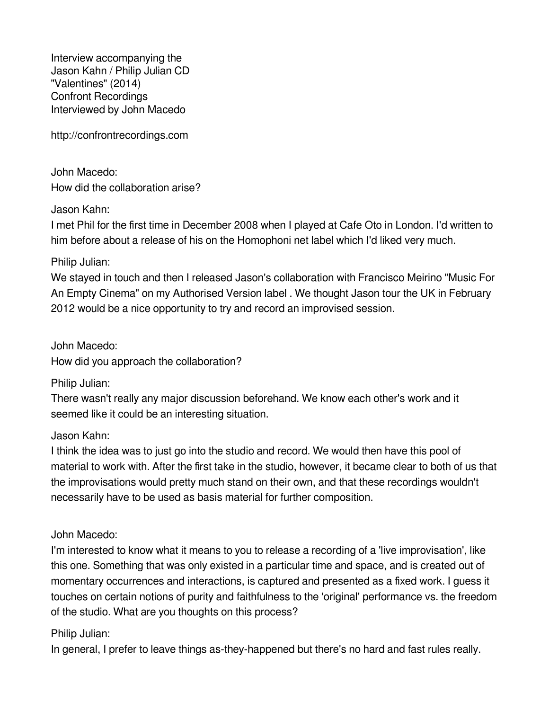Interview accompanying the Jason Kahn / Philip Julian CD "Valentines" (2014) Confront Recordings Interviewed by John Macedo

http://confrontrecordings.com

John Macedo: How did the collaboration arise?

Jason Kahn:

I met Phil for the first time in December 2008 when I played at Cafe Oto in London. I'd written to him before about a release of his on the Homophoni net label which I'd liked very much.

Philip Julian:

We stayed in touch and then I released Jason's collaboration with Francisco Meirino "Music For An Empty Cinema" on my Authorised Version label . We thought Jason tour the UK in February 2012 would be a nice opportunity to try and record an improvised session.

John Macedo: How did you approach the collaboration?

Philip Julian:

There wasn't really any major discussion beforehand. We know each other's work and it seemed like it could be an interesting situation.

Jason Kahn:

I think the idea was to just go into the studio and record. We would then have this pool of material to work with. After the first take in the studio, however, it became clear to both of us that the improvisations would pretty much stand on their own, and that these recordings wouldn't necessarily have to be used as basis material for further composition.

John Macedo:

I'm interested to know what it means to you to release a recording of a 'live improvisation', like this one. Something that was only existed in a particular time and space, and is created out of momentary occurrences and interactions, is captured and presented as a fixed work. I guess it touches on certain notions of purity and faithfulness to the 'original' performance vs. the freedom of the studio. What are you thoughts on this process?

Philip Julian:

In general, I prefer to leave things as-they-happened but there's no hard and fast rules really.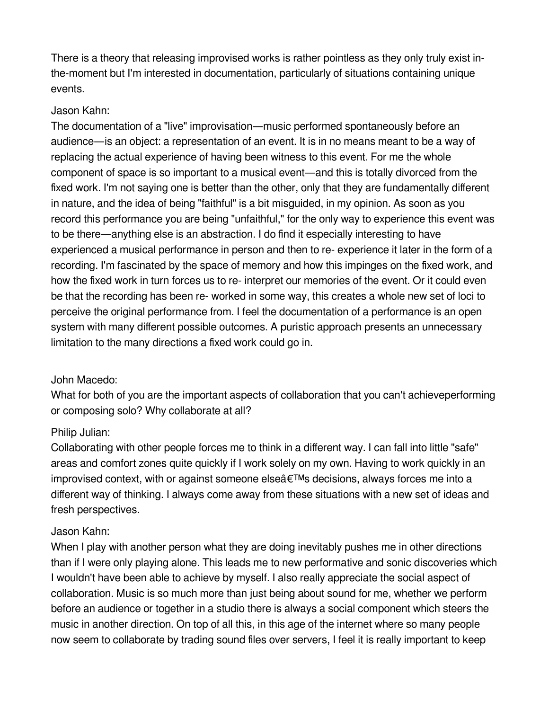There is a theory that releasing improvised works is rather pointless as they only truly exist inthe-moment but I'm interested in documentation, particularly of situations containing unique events.

#### Jason Kahn:

The documentation of a "live" improvisation—music performed spontaneously before an audience—is an object: a representation of an event. It is in no means meant to be a way of replacing the actual experience of having been witness to this event. For me the whole component of space is so important to a musical event—and this is totally divorced from the fixed work. I'm not saying one is better than the other, only that they are fundamentally different in nature, and the idea of being "faithful" is a bit misguided, in my opinion. As soon as you record this performance you are being "unfaithful," for the only way to experience this event was to be there—anything else is an abstraction. I do find it especially interesting to have experienced a musical performance in person and then to re- experience it later in the form of a recording. I'm fascinated by the space of memory and how this impinges on the fixed work, and how the fixed work in turn forces us to re- interpret our memories of the event. Or it could even be that the recording has been re- worked in some way, this creates a whole new set of loci to perceive the original performance from. I feel the documentation of a performance is an open system with many different possible outcomes. A puristic approach presents an unnecessary limitation to the many directions a fixed work could go in.

#### John Macedo:

What for both of you are the important aspects of collaboration that you can't achieveperforming or composing solo? Why collaborate at all?

## Philip Julian:

Collaborating with other people forces me to think in a different way. I can fall into little "safe" areas and comfort zones quite quickly if I work solely on my own. Having to work quickly in an improvised context, with or against someone else $\hat{a} \in TM$ s decisions, always forces me into a different way of thinking. I always come away from these situations with a new set of ideas and fresh perspectives.

#### Jason Kahn:

When I play with another person what they are doing inevitably pushes me in other directions than if I were only playing alone. This leads me to new performative and sonic discoveries which I wouldn't have been able to achieve by myself. I also really appreciate the social aspect of collaboration. Music is so much more than just being about sound for me, whether we perform before an audience or together in a studio there is always a social component which steers the music in another direction. On top of all this, in this age of the internet where so many people now seem to collaborate by trading sound files over servers, I feel it is really important to keep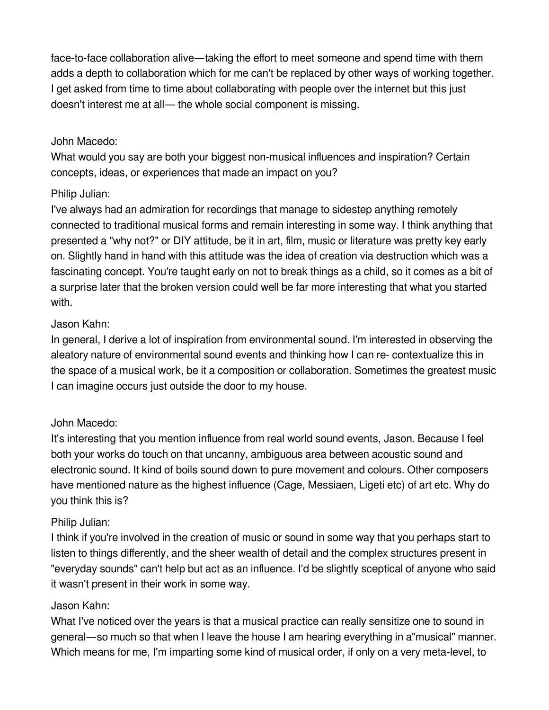face-to-face collaboration alive—taking the effort to meet someone and spend time with them adds a depth to collaboration which for me can't be replaced by other ways of working together. I get asked from time to time about collaborating with people over the internet but this just doesn't interest me at all— the whole social component is missing.

#### John Macedo:

What would you say are both your biggest non-musical influences and inspiration? Certain concepts, ideas, or experiences that made an impact on you?

### Philip Julian:

I've always had an admiration for recordings that manage to sidestep anything remotely connected to traditional musical forms and remain interesting in some way. I think anything that presented a "why not?" or DIY attitude, be it in art, film, music or literature was pretty key early on. Slightly hand in hand with this attitude was the idea of creation via destruction which was a fascinating concept. You're taught early on not to break things as a child, so it comes as a bit of a surprise later that the broken version could well be far more interesting that what you started with.

### Jason Kahn:

In general, I derive a lot of inspiration from environmental sound. I'm interested in observing the aleatory nature of environmental sound events and thinking how I can re- contextualize this in the space of a musical work, be it a composition or collaboration. Sometimes the greatest music I can imagine occurs just outside the door to my house.

## John Macedo:

It's interesting that you mention influence from real world sound events, Jason. Because I feel both your works do touch on that uncanny, ambiguous area between acoustic sound and electronic sound. It kind of boils sound down to pure movement and colours. Other composers have mentioned nature as the highest influence (Cage, Messiaen, Ligeti etc) of art etc. Why do you think this is?

## Philip Julian:

I think if you're involved in the creation of music or sound in some way that you perhaps start to listen to things differently, and the sheer wealth of detail and the complex structures present in "everyday sounds" can't help but act as an influence. I'd be slightly sceptical of anyone who said it wasn't present in their work in some way.

## Jason Kahn:

What I've noticed over the years is that a musical practice can really sensitize one to sound in general—so much so that when I leave the house I am hearing everything in a"musical" manner. Which means for me, I'm imparting some kind of musical order, if only on a very meta-level, to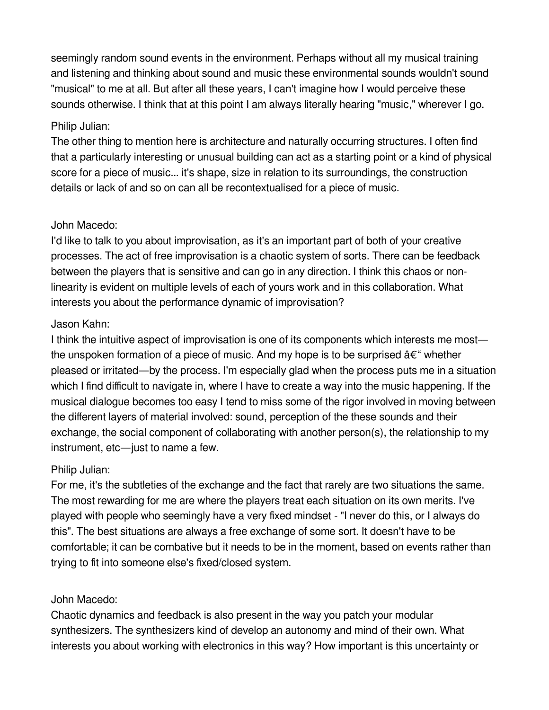seemingly random sound events in the environment. Perhaps without all my musical training and listening and thinking about sound and music these environmental sounds wouldn't sound "musical" to me at all. But after all these years, I can't imagine how I would perceive these sounds otherwise. I think that at this point I am always literally hearing "music," wherever I go.

## Philip Julian:

The other thing to mention here is architecture and naturally occurring structures. I often find that a particularly interesting or unusual building can act as a starting point or a kind of physical score for a piece of music... it's shape, size in relation to its surroundings, the construction details or lack of and so on can all be recontextualised for a piece of music.

## John Macedo:

I'd like to talk to you about improvisation, as it's an important part of both of your creative processes. The act of free improvisation is a chaotic system of sorts. There can be feedback between the players that is sensitive and can go in any direction. I think this chaos or nonlinearity is evident on multiple levels of each of yours work and in this collaboration. What interests you about the performance dynamic of improvisation?

# Jason Kahn:

I think the intuitive aspect of improvisation is one of its components which interests me most the unspoken formation of a piece of music. And my hope is to be surprised  $\hat{a} \in \hat{\mathcal{F}}$  whether pleased or irritated—by the process. I'm especially glad when the process puts me in a situation which I find difficult to navigate in, where I have to create a way into the music happening. If the musical dialogue becomes too easy I tend to miss some of the rigor involved in moving between the different layers of material involved: sound, perception of the these sounds and their exchange, the social component of collaborating with another person(s), the relationship to my instrument, etc—just to name a few.

# Philip Julian:

For me, it's the subtleties of the exchange and the fact that rarely are two situations the same. The most rewarding for me are where the players treat each situation on its own merits. I've played with people who seemingly have a very fixed mindset - "I never do this, or I always do this". The best situations are always a free exchange of some sort. It doesn't have to be comfortable; it can be combative but it needs to be in the moment, based on events rather than trying to fit into someone else's fixed/closed system.

# John Macedo:

Chaotic dynamics and feedback is also present in the way you patch your modular synthesizers. The synthesizers kind of develop an autonomy and mind of their own. What interests you about working with electronics in this way? How important is this uncertainty or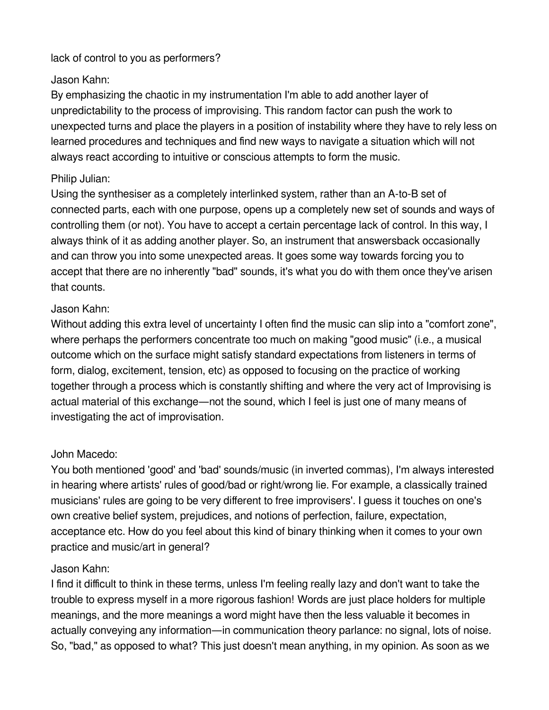lack of control to you as performers?

## Jason Kahn:

By emphasizing the chaotic in my instrumentation I'm able to add another layer of unpredictability to the process of improvising. This random factor can push the work to unexpected turns and place the players in a position of instability where they have to rely less on learned procedures and techniques and find new ways to navigate a situation which will not always react according to intuitive or conscious attempts to form the music.

# Philip Julian:

Using the synthesiser as a completely interlinked system, rather than an A-to-B set of connected parts, each with one purpose, opens up a completely new set of sounds and ways of controlling them (or not). You have to accept a certain percentage lack of control. In this way, I always think of it as adding another player. So, an instrument that answersback occasionally and can throw you into some unexpected areas. It goes some way towards forcing you to accept that there are no inherently "bad" sounds, it's what you do with them once they've arisen that counts.

# Jason Kahn:

Without adding this extra level of uncertainty I often find the music can slip into a "comfort zone", where perhaps the performers concentrate too much on making "good music" (i.e., a musical outcome which on the surface might satisfy standard expectations from listeners in terms of form, dialog, excitement, tension, etc) as opposed to focusing on the practice of working together through a process which is constantly shifting and where the very act of Improvising is actual material of this exchange—not the sound, which I feel is just one of many means of investigating the act of improvisation.

# John Macedo:

You both mentioned 'good' and 'bad' sounds/music (in inverted commas), I'm always interested in hearing where artists' rules of good/bad or right/wrong lie. For example, a classically trained musicians' rules are going to be very different to free improvisers'. I guess it touches on one's own creative belief system, prejudices, and notions of perfection, failure, expectation, acceptance etc. How do you feel about this kind of binary thinking when it comes to your own practice and music/art in general?

# Jason Kahn:

I find it difficult to think in these terms, unless I'm feeling really lazy and don't want to take the trouble to express myself in a more rigorous fashion! Words are just place holders for multiple meanings, and the more meanings a word might have then the less valuable it becomes in actually conveying any information—in communication theory parlance: no signal, lots of noise. So, "bad," as opposed to what? This just doesn't mean anything, in my opinion. As soon as we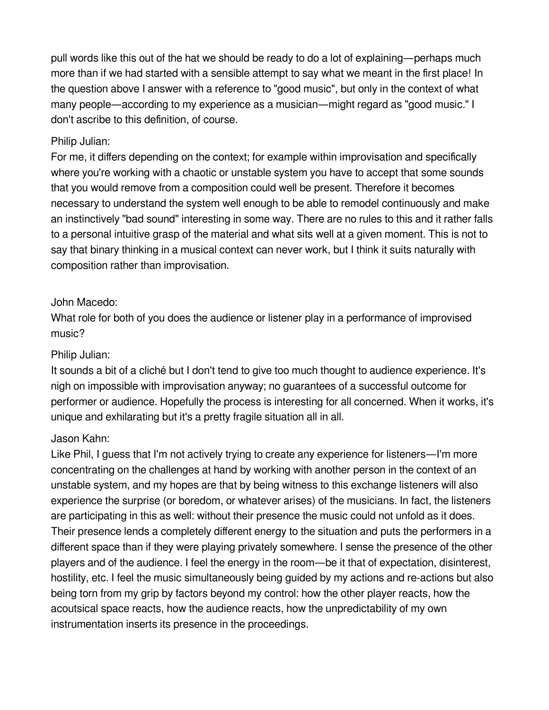pull words like this out of the hat we should be ready to do a lot of explaining—perhaps much more than if we had started with a sensible attempt to say what we meant in the first place! In the question above I answer with a reference to "good music", but only in the context of what many people—according to my experience as a musician—might regard as "good music." I don't ascribe to this definition, of course.

### Philip Julian:

For me, it differs depending on the context; for example within improvisation and specifically where you're working with a chaotic or unstable system you have to accept that some sounds that you would remove from a composition could well be present. Therefore it becomes necessary to understand the system well enough to be able to remodel continuously and make an instinctively "bad sound" interesting in some way. There are no rules to this and it rather falls to a personal intuitive grasp of the material and what sits well at a given moment. This is not to say that binary thinking in a musical context can never work, but I think it suits naturally with composition rather than improvisation.

## John Macedo:

What role for both of you does the audience or listener play in a performance of improvised music?

### Philip Julian:

It sounds a bit of a cliché but I don't tend to give too much thought to audience experience. It's nigh on impossible with improvisation anyway; no guarantees of a successful outcome for performer or audience. Hopefully the process is interesting for all concerned. When it works, it's unique and exhilarating but it's a pretty fragile situation all in all.

## Jason Kahn:

Like Phil, I guess that I'm not actively trying to create any experience for listeners—I'm more concentrating on the challenges at hand by working with another person in the context of an unstable system, and my hopes are that by being witness to this exchange listeners will also experience the surprise (or boredom, or whatever arises) of the musicians. In fact, the listeners are participating in this as well: without their presence the music could not unfold as it does. Their presence lends a completely different energy to the situation and puts the performers in a different space than if they were playing privately somewhere. I sense the presence of the other players and of the audience. I feel the energy in the room—be it that of expectation, disinterest, hostility, etc. I feel the music simultaneously being guided by my actions and re-actions but also being torn from my grip by factors beyond my control: how the other player reacts, how the acoutsical space reacts, how the audience reacts, how the unpredictability of my own instrumentation inserts its presence in the proceedings.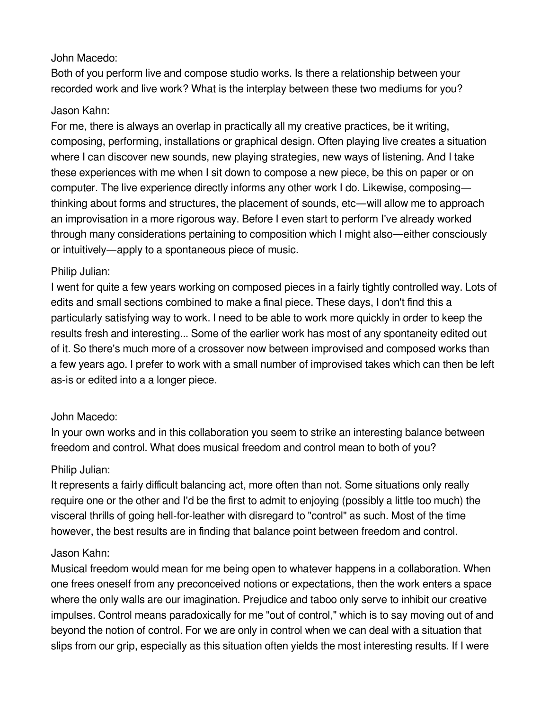### John Macedo:

Both of you perform live and compose studio works. Is there a relationship between your recorded work and live work? What is the interplay between these two mediums for you?

#### Jason Kahn:

For me, there is always an overlap in practically all my creative practices, be it writing, composing, performing, installations or graphical design. Often playing live creates a situation where I can discover new sounds, new playing strategies, new ways of listening. And I take these experiences with me when I sit down to compose a new piece, be this on paper or on computer. The live experience directly informs any other work I do. Likewise, composing thinking about forms and structures, the placement of sounds, etc—will allow me to approach an improvisation in a more rigorous way. Before I even start to perform I've already worked through many considerations pertaining to composition which I might also—either consciously or intuitively—apply to a spontaneous piece of music.

## Philip Julian:

I went for quite a few years working on composed pieces in a fairly tightly controlled way. Lots of edits and small sections combined to make a final piece. These days, I don't find this a particularly satisfying way to work. I need to be able to work more quickly in order to keep the results fresh and interesting... Some of the earlier work has most of any spontaneity edited out of it. So there's much more of a crossover now between improvised and composed works than a few years ago. I prefer to work with a small number of improvised takes which can then be left as-is or edited into a a longer piece.

## John Macedo:

In your own works and in this collaboration you seem to strike an interesting balance between freedom and control. What does musical freedom and control mean to both of you?

## Philip Julian:

It represents a fairly difficult balancing act, more often than not. Some situations only really require one or the other and I'd be the first to admit to enjoying (possibly a little too much) the visceral thrills of going hell-for-leather with disregard to "control" as such. Most of the time however, the best results are in finding that balance point between freedom and control.

#### Jason Kahn:

Musical freedom would mean for me being open to whatever happens in a collaboration. When one frees oneself from any preconceived notions or expectations, then the work enters a space where the only walls are our imagination. Prejudice and taboo only serve to inhibit our creative impulses. Control means paradoxically for me "out of control," which is to say moving out of and beyond the notion of control. For we are only in control when we can deal with a situation that slips from our grip, especially as this situation often yields the most interesting results. If I were